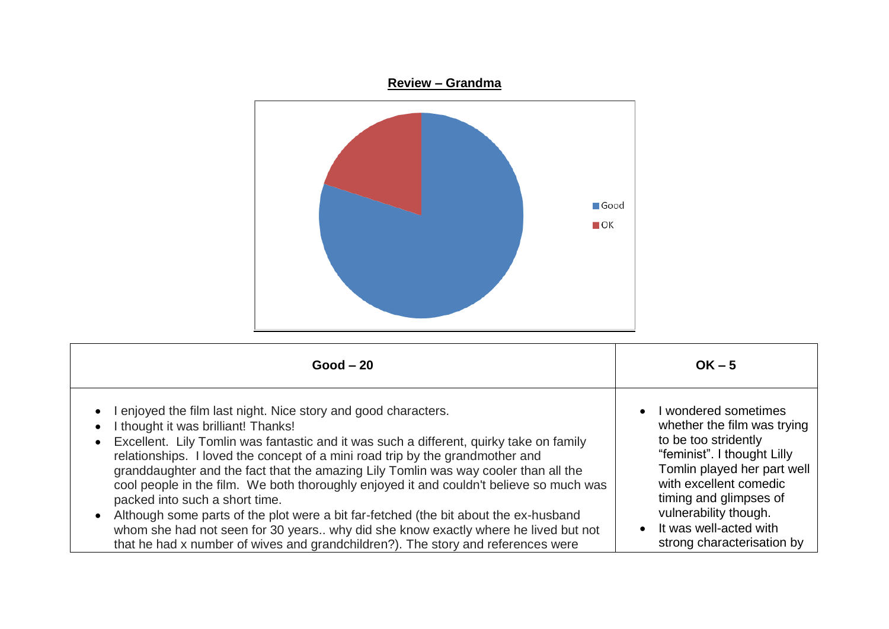

| $Good - 20$                                                                                                                                                                                                                                                                                                                                                                                                                                                                                                                                                                                                                                                                                                                                                                                                               | $OK - 5$                                                                                                                                                                                                                                                                       |
|---------------------------------------------------------------------------------------------------------------------------------------------------------------------------------------------------------------------------------------------------------------------------------------------------------------------------------------------------------------------------------------------------------------------------------------------------------------------------------------------------------------------------------------------------------------------------------------------------------------------------------------------------------------------------------------------------------------------------------------------------------------------------------------------------------------------------|--------------------------------------------------------------------------------------------------------------------------------------------------------------------------------------------------------------------------------------------------------------------------------|
| enjoyed the film last night. Nice story and good characters.<br>$\bullet$<br>I thought it was brilliant! Thanks!<br>$\bullet$<br>Excellent. Lily Tomlin was fantastic and it was such a different, quirky take on family<br>$\bullet$<br>relationships. I loved the concept of a mini road trip by the grandmother and<br>granddaughter and the fact that the amazing Lily Tomlin was way cooler than all the<br>cool people in the film. We both thoroughly enjoyed it and couldn't believe so much was<br>packed into such a short time.<br>Although some parts of the plot were a bit far-fetched (the bit about the ex-husband<br>$\bullet$<br>whom she had not seen for 30 years why did she know exactly where he lived but not<br>that he had x number of wives and grandchildren?). The story and references were | I wondered sometimes<br>whether the film was trying<br>to be too stridently<br>"feminist". I thought Lilly<br>Tomlin played her part well<br>with excellent comedic<br>timing and glimpses of<br>vulnerability though.<br>It was well-acted with<br>strong characterisation by |